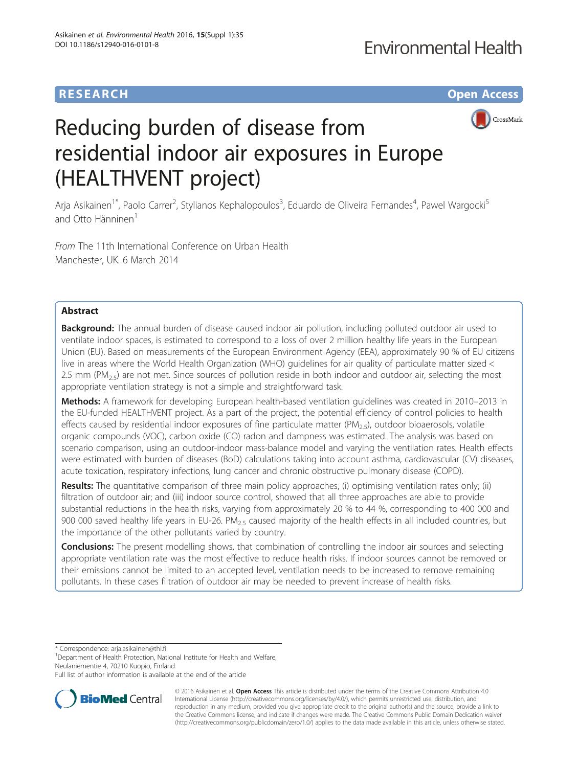# **RESEARCH CHE Open Access**



# Reducing burden of disease from residential indoor air exposures in Europe (HEALTHVENT project)

Arja Asikainen<sup>1\*</sup>, Paolo Carrer<sup>2</sup>, Stylianos Kephalopoulos<sup>3</sup>, Eduardo de Oliveira Fernandes<sup>4</sup>, Pawel Wargocki<sup>5</sup> and Otto Hänninen<sup>1</sup>

From The 11th International Conference on Urban Health Manchester, UK. 6 March 2014

# Abstract

Background: The annual burden of disease caused indoor air pollution, including polluted outdoor air used to ventilate indoor spaces, is estimated to correspond to a loss of over 2 million healthy life years in the European Union (EU). Based on measurements of the European Environment Agency (EEA), approximately 90 % of EU citizens live in areas where the World Health Organization (WHO) guidelines for air quality of particulate matter sized < 2.5 mm (PM<sub>2.5</sub>) are not met. Since sources of pollution reside in both indoor and outdoor air, selecting the most appropriate ventilation strategy is not a simple and straightforward task.

Methods: A framework for developing European health-based ventilation guidelines was created in 2010–2013 in the EU-funded HEALTHVENT project. As a part of the project, the potential efficiency of control policies to health effects caused by residential indoor exposures of fine particulate matter ( $PM_{2.5}$ ), outdoor bioaerosols, volatile organic compounds (VOC), carbon oxide (CO) radon and dampness was estimated. The analysis was based on scenario comparison, using an outdoor-indoor mass-balance model and varying the ventilation rates. Health effects were estimated with burden of diseases (BoD) calculations taking into account asthma, cardiovascular (CV) diseases, acute toxication, respiratory infections, lung cancer and chronic obstructive pulmonary disease (COPD).

Results: The quantitative comparison of three main policy approaches, (i) optimising ventilation rates only; (ii) filtration of outdoor air; and (iii) indoor source control, showed that all three approaches are able to provide substantial reductions in the health risks, varying from approximately 20 % to 44 %, corresponding to 400 000 and 900 000 saved healthy life years in EU-26. PM<sub>2.5</sub> caused majority of the health effects in all included countries, but the importance of the other pollutants varied by country.

**Conclusions:** The present modelling shows, that combination of controlling the indoor air sources and selecting appropriate ventilation rate was the most effective to reduce health risks. If indoor sources cannot be removed or their emissions cannot be limited to an accepted level, ventilation needs to be increased to remove remaining pollutants. In these cases filtration of outdoor air may be needed to prevent increase of health risks.

\* Correspondence: [arja.asikainen@thl.fi](mailto:arja.asikainen@thl.fi) <sup>1</sup>

<sup>1</sup>Department of Health Protection, National Institute for Health and Welfare, Neulaniementie 4, 70210 Kuopio, Finland

Full list of author information is available at the end of the article



© 2016 Asikainen et al. Open Access This article is distributed under the terms of the Creative Commons Attribution 4.0 International License [\(http://creativecommons.org/licenses/by/4.0/](http://creativecommons.org/licenses/by/4.0/)), which permits unrestricted use, distribution, and reproduction in any medium, provided you give appropriate credit to the original author(s) and the source, provide a link to the Creative Commons license, and indicate if changes were made. The Creative Commons Public Domain Dedication waiver [\(http://creativecommons.org/publicdomain/zero/1.0/](http://creativecommons.org/publicdomain/zero/1.0/)) applies to the data made available in this article, unless otherwise stated.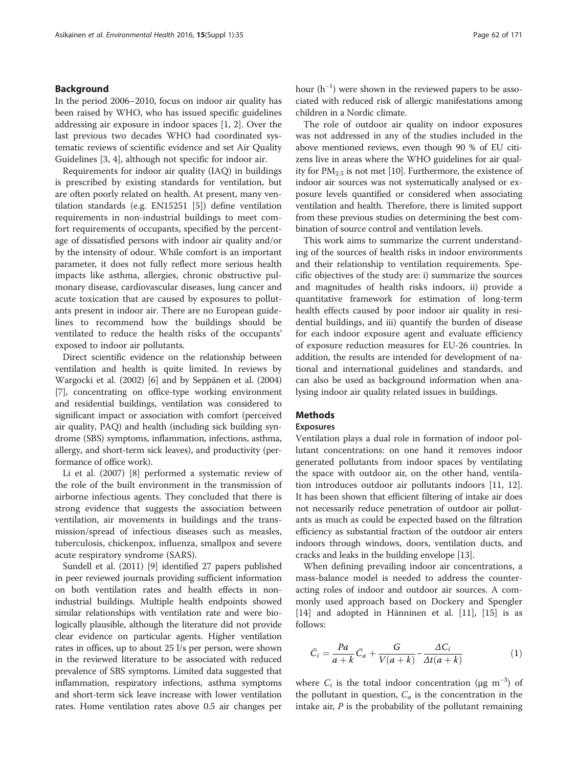# Background

In the period 2006–2010, focus on indoor air quality has been raised by WHO, who has issued specific guidelines addressing air exposure in indoor spaces [[1](#page-10-0), [2\]](#page-10-0). Over the last previous two decades WHO had coordinated systematic reviews of scientific evidence and set Air Quality Guidelines [\[3](#page-10-0), [4](#page-10-0)], although not specific for indoor air.

Requirements for indoor air quality (IAQ) in buildings is prescribed by existing standards for ventilation, but are often poorly related on health. At present, many ventilation standards (e.g. EN15251 [\[5](#page-10-0)]) define ventilation requirements in non-industrial buildings to meet comfort requirements of occupants, specified by the percentage of dissatisfied persons with indoor air quality and/or by the intensity of odour. While comfort is an important parameter, it does not fully reflect more serious health impacts like asthma, allergies, chronic obstructive pulmonary disease, cardiovascular diseases, lung cancer and acute toxication that are caused by exposures to pollutants present in indoor air. There are no European guidelines to recommend how the buildings should be ventilated to reduce the health risks of the occupants' exposed to indoor air pollutants.

Direct scientific evidence on the relationship between ventilation and health is quite limited. In reviews by Wargocki et al. (2002) [\[6](#page-10-0)] and by Seppänen et al. (2004) [[7\]](#page-10-0), concentrating on office-type working environment and residential buildings, ventilation was considered to significant impact or association with comfort (perceived air quality, PAQ) and health (including sick building syndrome (SBS) symptoms, inflammation, infections, asthma, allergy, and short-term sick leaves), and productivity (performance of office work).

Li et al. (2007) [\[8](#page-10-0)] performed a systematic review of the role of the built environment in the transmission of airborne infectious agents. They concluded that there is strong evidence that suggests the association between ventilation, air movements in buildings and the transmission/spread of infectious diseases such as measles, tuberculosis, chickenpox, influenza, smallpox and severe acute respiratory syndrome (SARS).

Sundell et al. (2011) [\[9\]](#page-10-0) identified 27 papers published in peer reviewed journals providing sufficient information on both ventilation rates and health effects in nonindustrial buildings. Multiple health endpoints showed similar relationships with ventilation rate and were biologically plausible, although the literature did not provide clear evidence on particular agents. Higher ventilation rates in offices, up to about 25 l/s per person, were shown in the reviewed literature to be associated with reduced prevalence of SBS symptoms. Limited data suggested that inflammation, respiratory infections, asthma symptoms and short-term sick leave increase with lower ventilation rates. Home ventilation rates above 0.5 air changes per

hour (h<sup>-1</sup>) were shown in the reviewed papers to be associated with reduced risk of allergic manifestations among children in a Nordic climate.

The role of outdoor air quality on indoor exposures was not addressed in any of the studies included in the above mentioned reviews, even though 90 % of EU citizens live in areas where the WHO guidelines for air quality for  $PM_{2.5}$  is not met [\[10\]](#page-10-0). Furthermore, the existence of indoor air sources was not systematically analysed or exposure levels quantified or considered when associating ventilation and health. Therefore, there is limited support from these previous studies on determining the best combination of source control and ventilation levels.

This work aims to summarize the current understanding of the sources of health risks in indoor environments and their relationship to ventilation requirements. Specific objectives of the study are: i) summarize the sources and magnitudes of health risks indoors, ii) provide a quantitative framework for estimation of long-term health effects caused by poor indoor air quality in residential buildings, and iii) quantify the burden of disease for each indoor exposure agent and evaluate efficiency of exposure reduction measures for EU-26 countries. In addition, the results are intended for development of national and international guidelines and standards, and can also be used as background information when analysing indoor air quality related issues in buildings.

# **Methods**

### Exposures

Ventilation plays a dual role in formation of indoor pollutant concentrations: on one hand it removes indoor generated pollutants from indoor spaces by ventilating the space with outdoor air, on the other hand, ventilation introduces outdoor air pollutants indoors [\[11](#page-10-0), [12](#page-10-0)]. It has been shown that efficient filtering of intake air does not necessarily reduce penetration of outdoor air pollutants as much as could be expected based on the filtration efficiency as substantial fraction of the outdoor air enters indoors through windows, doors, ventilation ducts, and cracks and leaks in the building envelope [\[13\]](#page-10-0).

When defining prevailing indoor air concentrations, a mass-balance model is needed to address the counteracting roles of indoor and outdoor air sources. A commonly used approach based on Dockery and Spengler [[14\]](#page-10-0) and adopted in Hänninen et al. [[11\]](#page-10-0), [[15\]](#page-10-0) is as follows:

$$
\bar{C}_i = \frac{Pa}{a+k}\bar{C}_a + \frac{G}{V(a+k)} - \frac{\Delta C_i}{\Delta t(a+k)}\tag{1}
$$

where  $C_i$  is the total indoor concentration ( $\mu$ g m<sup>-3</sup>) of the pollutant in question,  $C_a$  is the concentration in the intake air,  $P$  is the probability of the pollutant remaining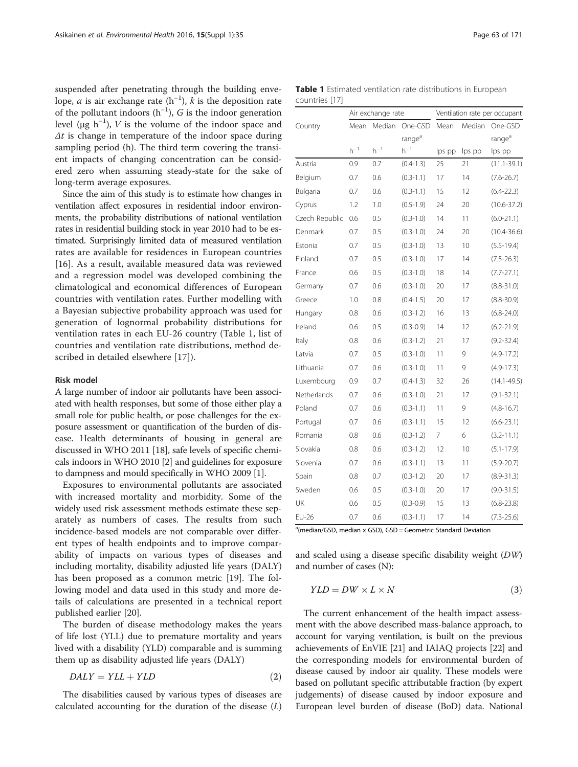<span id="page-2-0"></span>suspended after penetrating through the building envelope,  $\alpha$  is air exchange rate (h<sup>-1</sup>),  $k$  is the deposition rate of the pollutant indoors  $(h^{-1})$ , G is the indoor generation level ( $\mu$ g h<sup>-1</sup>), *V* is the volume of the indoor space and  $\Delta t$  is change in temperature of the indoor space during sampling period (h). The third term covering the transient impacts of changing concentration can be considered zero when assuming steady-state for the sake of long-term average exposures.

Since the aim of this study is to estimate how changes in ventilation affect exposures in residential indoor environments, the probability distributions of national ventilation rates in residential building stock in year 2010 had to be estimated. Surprisingly limited data of measured ventilation rates are available for residences in European countries [[16\]](#page-10-0). As a result, available measured data was reviewed and a regression model was developed combining the climatological and economical differences of European countries with ventilation rates. Further modelling with a Bayesian subjective probability approach was used for generation of lognormal probability distributions for ventilation rates in each EU-26 country (Table 1, list of countries and ventilation rate distributions, method described in detailed elsewhere [[17\]](#page-11-0)).

#### Risk model

A large number of indoor air pollutants have been associated with health responses, but some of those either play a small role for public health, or pose challenges for the exposure assessment or quantification of the burden of disease. Health determinants of housing in general are discussed in WHO 2011 [\[18\]](#page-11-0), safe levels of specific chemicals indoors in WHO 2010 [\[2\]](#page-10-0) and guidelines for exposure to dampness and mould specifically in WHO 2009 [\[1](#page-10-0)].

Exposures to environmental pollutants are associated with increased mortality and morbidity. Some of the widely used risk assessment methods estimate these separately as numbers of cases. The results from such incidence-based models are not comparable over different types of health endpoints and to improve comparability of impacts on various types of diseases and including mortality, disability adjusted life years (DALY) has been proposed as a common metric [\[19](#page-11-0)]. The following model and data used in this study and more details of calculations are presented in a technical report published earlier [[20\]](#page-11-0).

The burden of disease methodology makes the years of life lost (YLL) due to premature mortality and years lived with a disability (YLD) comparable and is summing them up as disability adjusted life years (DALY)

$$
DALY = YLL + YLD \tag{2}
$$

The disabilities caused by various types of diseases are calculated accounting for the duration of the disease  $(L)$ 

Table 1 Estimated ventilation rate distributions in European countries [[17](#page-11-0)]

|                |          | Air exchange rate  |               | Ventilation rate per occupant |                     |                    |  |  |
|----------------|----------|--------------------|---------------|-------------------------------|---------------------|--------------------|--|--|
| Country        | Mean     | Median             | One-GSD       | Mean                          | Median              | One-GSD            |  |  |
|                |          | range <sup>a</sup> |               |                               |                     | range <sup>a</sup> |  |  |
|                | $h^{-1}$ | $h^{-1}$           | $h^{-1}$      | lps pp                        | lps pp              | lps pp             |  |  |
| Austria        | 0.9      | 0.7                | $(0.4 - 1.3)$ | 25                            | 21                  | $(11.1 - 39.1)$    |  |  |
| Belgium        | 0.7      | 0.6                | $(0.3 - 1.1)$ | 17                            | 14                  | $(7.6 - 26.7)$     |  |  |
| Bulgaria       | 0.7      | 0.6                | $(0.3 - 1.1)$ | 15                            | 12                  | $(6.4 - 22.3)$     |  |  |
| Cyprus         | 1.2      | 1.0                | $(0.5 - 1.9)$ | 24                            | 20                  | $(10.6 - 37.2)$    |  |  |
| Czech Republic | 0.6      | 0.5                | $(0.3 - 1.0)$ | 14                            | 11                  | $(6.0 - 21.1)$     |  |  |
| Denmark        | 0.7      | 0.5                | $(0.3 - 1.0)$ | 24                            | 20                  | $(10.4 - 36.6)$    |  |  |
| Estonia        | 0.7      | 0.5                | $(0.3 - 1.0)$ | 13                            | 10                  | $(5.5 - 19.4)$     |  |  |
| Finland        | 0.7      | 0.5                | $(0.3 - 1.0)$ | 17                            | 14                  | $(7.5 - 26.3)$     |  |  |
| France         | 0.6      | 0.5                | $(0.3 - 1.0)$ | 18                            | 14                  | $(7.7 - 27.1)$     |  |  |
| Germany        | 0.7      | 0.6                | $(0.3 - 1.0)$ | 20                            | 17                  | $(8.8 - 31.0)$     |  |  |
| Greece         | 1.0      | 0.8                | $(0.4 - 1.5)$ | 20                            | 17                  | $(8.8 - 30.9)$     |  |  |
| Hungary        | 0.8      | 0.6                | $(0.3 - 1.2)$ | 16                            | 13                  | $(6.8 - 24.0)$     |  |  |
| Ireland        | 0.6      | 0.5                | $(0.3 - 0.9)$ | 14                            | 12                  | $(6.2 - 21.9)$     |  |  |
| Italy          | 0.8      | 0.6                | $(0.3 - 1.2)$ | 21                            | 17                  | $(9.2 - 32.4)$     |  |  |
| Latvia         | 0.7      | 0.5                | $(0.3 - 1.0)$ | 11                            | 9                   | $(4.9 - 17.2)$     |  |  |
| Lithuania      | 0.7      | 0.6                | $(0.3 - 1.0)$ | 11                            | 9<br>$(4.9 - 17.3)$ |                    |  |  |
| Luxembourg     | 0.9      | 0.7                | $(0.4 - 1.3)$ | 32                            | 26                  | $(14.1 - 49.5)$    |  |  |
| Netherlands    | 0.7      | 0.6                | $(0.3 - 1.0)$ | 21                            | 17                  | $(9.1 - 32.1)$     |  |  |
| Poland         | 0.7      | 0.6                | $(0.3 - 1.1)$ | 11                            | 9                   | $(4.8 - 16.7)$     |  |  |
| Portugal       | 0.7      | 0.6                | $(0.3 - 1.1)$ | 15                            | 12                  | $(6.6 - 23.1)$     |  |  |
| Romania        | 0.8      | 0.6                | $(0.3 - 1.2)$ | 7                             | 6                   | $(3.2 - 11.1)$     |  |  |
| Slovakia       | 0.8      | 0.6                | $(0.3 - 1.2)$ | 12                            | 10                  | $(5.1 - 17.9)$     |  |  |
| Slovenia       | 0.7      | 0.6                | $(0.3 - 1.1)$ | 13                            | 11                  | $(5.9 - 20.7)$     |  |  |
| Spain          | 0.8      | 0.7                | $(0.3 - 1.2)$ | 20                            | 17                  | $(8.9 - 31.3)$     |  |  |
| Sweden         | 0.6      | 0.5                | $(0.3 - 1.0)$ | 20                            | 17                  | $(9.0 - 31.5)$     |  |  |
| UK             | 0.6      | 0.5                | $(0.3 - 0.9)$ | 15                            | 13                  | $(6.8 - 23.8)$     |  |  |
| EU-26          | 0.7      | 0.6                | $(0.3 - 1.1)$ | 17                            | 14                  | $(7.3 - 25.6)$     |  |  |

<sup>a</sup>(median/GSD, median x GSD), GSD = Geometric Standard Deviation

and scaled using a disease specific disability weight (DW) and number of cases (N):

$$
YLD = DW \times L \times N \tag{3}
$$

The current enhancement of the health impact assessment with the above described mass-balance approach, to account for varying ventilation, is built on the previous achievements of EnVIE [\[21\]](#page-11-0) and IAIAQ projects [[22](#page-11-0)] and the corresponding models for environmental burden of disease caused by indoor air quality. These models were based on pollutant specific attributable fraction (by expert judgements) of disease caused by indoor exposure and European level burden of disease (BoD) data. National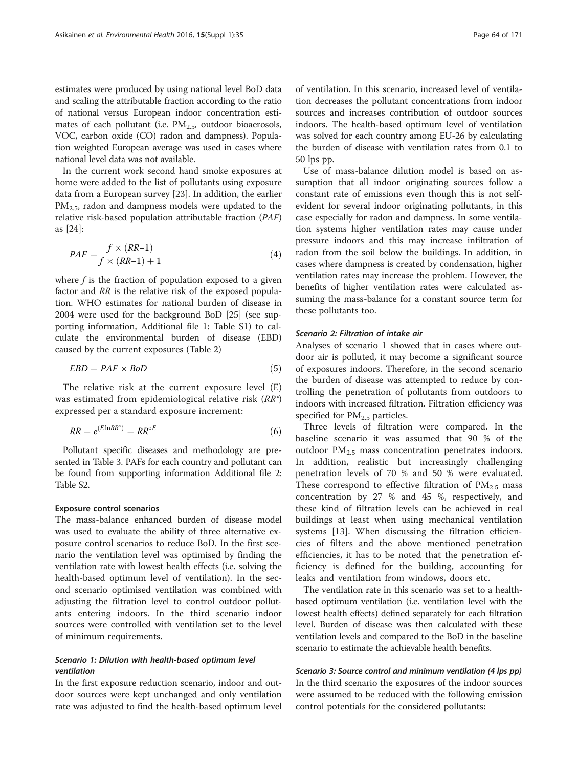estimates were produced by using national level BoD data and scaling the attributable fraction according to the ratio of national versus European indoor concentration estimates of each pollutant (i.e.  $PM_{2.5}$ , outdoor bioaerosols, VOC, carbon oxide (CO) radon and dampness). Population weighted European average was used in cases where national level data was not available.

In the current work second hand smoke exposures at home were added to the list of pollutants using exposure data from a European survey [[23\]](#page-11-0). In addition, the earlier PM<sub>2.5</sub>, radon and dampness models were updated to the relative risk-based population attributable fraction (PAF) as [\[24\]](#page-11-0):

$$
PAF = \frac{f \times (RR-1)}{f \times (RR-1) + 1}
$$
\n(4)

where  $f$  is the fraction of population exposed to a given factor and RR is the relative risk of the exposed population. WHO estimates for national burden of disease in 2004 were used for the background BoD [[25\]](#page-11-0) (see supporting information, Additional file [1:](#page-10-0) Table S1) to calculate the environmental burden of disease (EBD) caused by the current exposures (Table [2](#page-4-0))

$$
EBD = PAF \times BoD \tag{5}
$$

The relative risk at the current exposure level (E) was estimated from epidemiological relative risk (RR°) expressed per a standard exposure increment:

$$
RR = e^{(E \ln RR^{\circ})} = RR^{\circ E} \tag{6}
$$

Pollutant specific diseases and methodology are presented in Table [3.](#page-5-0) PAFs for each country and pollutant can be found from supporting information Additional file [2](#page-10-0): Table S2.

#### Exposure control scenarios

The mass-balance enhanced burden of disease model was used to evaluate the ability of three alternative exposure control scenarios to reduce BoD. In the first scenario the ventilation level was optimised by finding the ventilation rate with lowest health effects (i.e. solving the health-based optimum level of ventilation). In the second scenario optimised ventilation was combined with adjusting the filtration level to control outdoor pollutants entering indoors. In the third scenario indoor sources were controlled with ventilation set to the level of minimum requirements.

# Scenario 1: Dilution with health-based optimum level ventilation

In the first exposure reduction scenario, indoor and outdoor sources were kept unchanged and only ventilation rate was adjusted to find the health-based optimum level of ventilation. In this scenario, increased level of ventilation decreases the pollutant concentrations from indoor sources and increases contribution of outdoor sources indoors. The health-based optimum level of ventilation was solved for each country among EU-26 by calculating the burden of disease with ventilation rates from 0.1 to 50 lps pp.

Use of mass-balance dilution model is based on assumption that all indoor originating sources follow a constant rate of emissions even though this is not selfevident for several indoor originating pollutants, in this case especially for radon and dampness. In some ventilation systems higher ventilation rates may cause under pressure indoors and this may increase infiltration of radon from the soil below the buildings. In addition, in cases where dampness is created by condensation, higher ventilation rates may increase the problem. However, the benefits of higher ventilation rates were calculated assuming the mass-balance for a constant source term for these pollutants too.

## Scenario 2: Filtration of intake air

Analyses of scenario 1 showed that in cases where outdoor air is polluted, it may become a significant source of exposures indoors. Therefore, in the second scenario the burden of disease was attempted to reduce by controlling the penetration of pollutants from outdoors to indoors with increased filtration. Filtration efficiency was specified for  $PM_{2.5}$  particles.

Three levels of filtration were compared. In the baseline scenario it was assumed that 90 % of the outdoor  $PM_{2.5}$  mass concentration penetrates indoors. In addition, realistic but increasingly challenging penetration levels of 70 % and 50 % were evaluated. These correspond to effective filtration of  $PM_{2.5}$  mass concentration by 27 % and 45 %, respectively, and these kind of filtration levels can be achieved in real buildings at least when using mechanical ventilation systems [\[13](#page-10-0)]. When discussing the filtration efficiencies of filters and the above mentioned penetration efficiencies, it has to be noted that the penetration efficiency is defined for the building, accounting for leaks and ventilation from windows, doors etc.

The ventilation rate in this scenario was set to a healthbased optimum ventilation (i.e. ventilation level with the lowest health effects) defined separately for each filtration level. Burden of disease was then calculated with these ventilation levels and compared to the BoD in the baseline scenario to estimate the achievable health benefits.

Scenario 3: Source control and minimum ventilation (4 lps pp) In the third scenario the exposures of the indoor sources were assumed to be reduced with the following emission control potentials for the considered pollutants: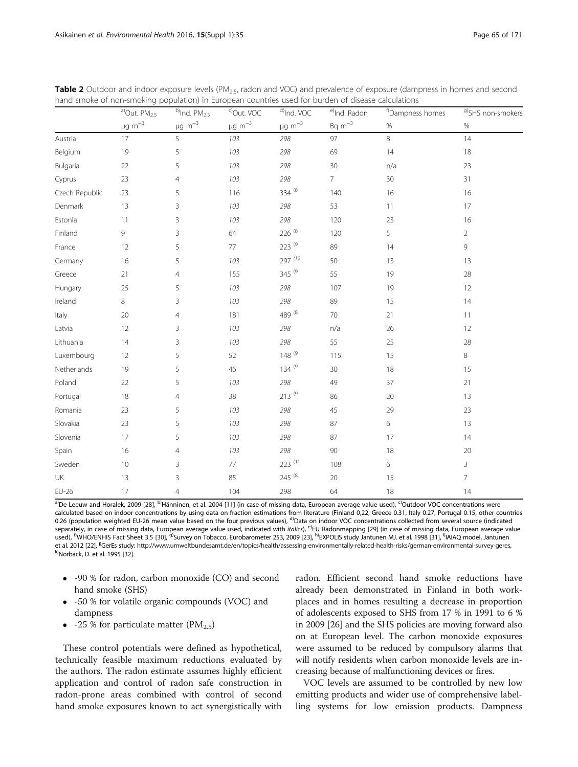|                | $a$ Out. PM <sub>2.5</sub> | $\overline{b}$ Ind. PM <sub>2.5</sub> | <sup>c)</sup> Out. VOC | $\overline{d}$ Ind. VOC | e)Ind. Radon | f)Dampness homes | <sup>g)</sup> SHS non-smokers |  |
|----------------|----------------------------|---------------------------------------|------------------------|-------------------------|--------------|------------------|-------------------------------|--|
|                | $\mu g~m^{-3}$             | $\mu g$ $\text{m}^{-3}$               | $\mu g~m^{-3}$         | $\mu g~m^{-3}$          | Bq $m^{-3}$  | $\%$             | $\%$                          |  |
| Austria        | 17                         | 5                                     | 103                    | 298                     | 97           | $\,8\,$          | 14                            |  |
| Belgium        | 19                         | 5                                     | 103                    | 298                     | 69           | 14               | 18                            |  |
| Bulgaria       | 22                         | 5                                     | 103                    | 298                     | 30           | n/a              | 23                            |  |
| Cyprus         | 23                         | $\overline{4}$                        | 103                    | 298                     | 7            | $30\,$           | 31                            |  |
| Czech Republic | 23                         | 5                                     | 116                    | 334 (8)                 | 140          | 16               | 16                            |  |
| Denmark        | 13                         | 3                                     | 103                    | 298                     | 53           | 11               | 17                            |  |
| Estonia        | 11                         | 3                                     | 103                    | 298                     | 120          | 23               | 16                            |  |
| Finland        | 9                          | 3                                     | 64                     | 226 (8)                 | 120          | 5                | $\overline{2}$                |  |
| France         | 12                         | 5                                     | 77                     | $223^{9}$               | 89           | 14               | $\overline{9}$                |  |
| Germany        | 16                         | 5                                     | 103                    | 297 (10)                | 50           | 13               | 13                            |  |
| Greece         | 21                         | $\overline{4}$                        | 155                    | 345 (9                  | 55           | 19               | $28\,$                        |  |
| Hungary        | 25                         | 5                                     | 103                    | 298                     | 107          | 19               | 12                            |  |
| Ireland        | 8                          | 3                                     | 103                    | 298                     | 89           | 15               | 14                            |  |
| Italy          | 20                         | $\overline{4}$                        | 181                    | 489 (8)                 | $70\,$       | 21               | 11                            |  |
| Latvia         | 12                         | 3                                     | 103                    | 298                     | n/a          | 26               | 12                            |  |
| Lithuania      | 14                         | 3                                     | 103                    | 298                     | 55           | 25               | $28\,$                        |  |
| Luxembourg     | 12                         | 5                                     | 52                     | $148^{(9)}$             | 115          | 15               | $\,8\,$                       |  |
| Netherlands    | 19                         | 5                                     | 46                     | $134^{(9)}$             | 30           | 18               | 15                            |  |
| Poland         | 22                         | 5                                     | 103                    | 298                     | 49           | 37               | 21                            |  |
| Portugal       | 18                         | $\overline{4}$                        | 38                     | $213^{9}$               | 86           | 20               | 13                            |  |
| Romania        | 23                         | 5                                     | 103                    | 298                     | 45           | 29               | 23                            |  |
| Slovakia       | 23                         | 5                                     | 103                    | 298                     | 87           | 6                | 13                            |  |
| Slovenia       | 17                         | 5                                     | 103                    | 298                     | 87           | 17               | 14                            |  |
| Spain          | 16                         | $\overline{4}$                        | 103                    | 298                     | $90\,$       | 18               | $20\,$                        |  |
| Sweden         | 10                         | 3                                     | $77\,$                 | $223$ (11)              | 108          | 6                | 3                             |  |
| UK             | 13                         | 3                                     | 85                     | 245 (8)                 | 20           | 15               | $\overline{7}$                |  |
| EU-26          | 17                         | $\overline{4}$                        | 104                    | 298                     | 64           | 18               | 14                            |  |

<span id="page-4-0"></span>Table 2 Outdoor and indoor exposure levels (PM<sub>2.5</sub>, radon and VOC) and prevalence of exposure (dampness in homes and second hand smoke of non-smoking population) in European countries used for burden of disease calculations

a)De Leeuw and Horalek, 2009 [[28\]](#page-11-0), <sup>b)</sup>Hänninen, et al. 2004 [\[11\]](#page-10-0) (in case of missing data, European average value used), <sup>c)</sup>Outdoor VOC concentrations were calculated based on indoor concentrations by using data on fraction estimations from literature (Finland 0,22, Greece 0.31, Italy 0.27, Portugal 0.15, other countries 0.26 (population weighted EU-26 mean value based on the four previous values), <sup>d)</sup>Data on indoor VOC concentrations collected from several source (indicated separately, in case of missing data, European average value used, indicated with *italics*), <sup>e)</sup>EU Radonmapping [\[29](#page-11-0)] (in case of missing data, European average value used), <sup>f</sup>WHO/ENHIS Fact Sheet 3.5 [\[30](#page-11-0)], <sup>g)</sup>Survey on Tobacco, Eurobarometer 253, 2009 [[23\]](#page-11-0), <sup>h</sup>)EXPOLIS study Jantunen MJ. et al. 1998 [[31\]](#page-11-0), <sup>i</sup>)AIAQ model, Jantunen et al. 2012 [[22\]](#page-11-0), <sup>j)</sup>GerEs study: <http://www.umweltbundesamt.de/en/topics/health/assessing-environmentally-related-health-risks/german-environmental-survey-geres>,<br><sup>k)</sup>Norback, D. et al. 1995 [\[32](#page-11-0)].

- -90 % for radon, carbon monoxide (CO) and second hand smoke (SHS)
- -50 % for volatile organic compounds (VOC) and dampness
- -25 % for particulate matter  $(PM_{2.5})$

These control potentials were defined as hypothetical, technically feasible maximum reductions evaluated by the authors. The radon estimate assumes highly efficient application and control of radon safe construction in radon-prone areas combined with control of second hand smoke exposures known to act synergistically with

radon. Efficient second hand smoke reductions have already been demonstrated in Finland in both workplaces and in homes resulting a decrease in proportion of adolescents exposed to SHS from 17 % in 1991 to 6 % in 2009 [\[26](#page-11-0)] and the SHS policies are moving forward also on at European level. The carbon monoxide exposures were assumed to be reduced by compulsory alarms that will notify residents when carbon monoxide levels are increasing because of malfunctioning devices or fires.

VOC levels are assumed to be controlled by new low emitting products and wider use of comprehensive labelling systems for low emission products. Dampness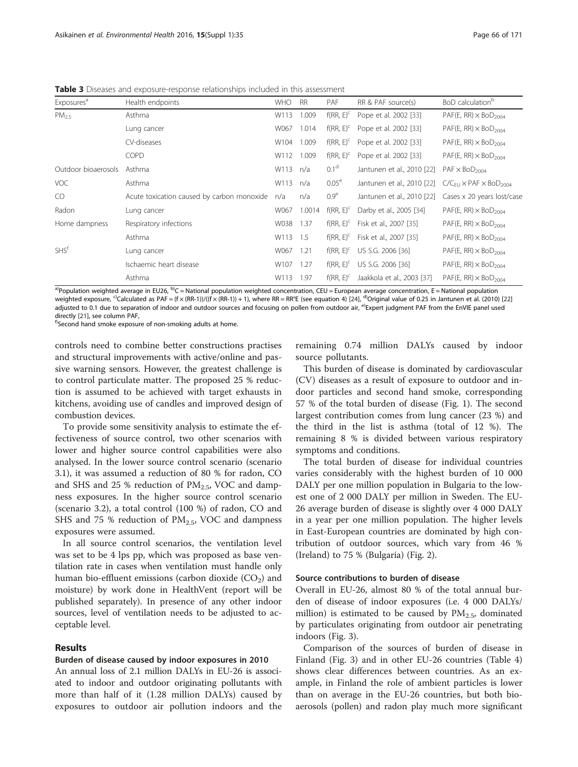<span id="page-5-0"></span>Table 3 Diseases and exposure-response relationships included in this assessment

| Exposures <sup>a</sup> | Health endpoints                           | <b>WHO</b> | <b>RR</b> | PAF               | RR & PAF source(s)         | BoD calculation <sup>b</sup>                                |
|------------------------|--------------------------------------------|------------|-----------|-------------------|----------------------------|-------------------------------------------------------------|
| PM <sub>25</sub>       | Asthma                                     | W113       | 1.009     | $f(RR, E)^c$      | Pope et al. 2002 [33]      | PAF(E, RR) $\times$ BoD <sub>2004</sub>                     |
|                        | Lung cancer                                | W067       | 1.014     | $f(RR, E)^c$      | Pope et al. 2002 [33]      | $PAF(E, RR) \times BOD2004$                                 |
|                        | CV-diseases                                | W104       | 1.009     | $f(RR, E)^c$      | Pope et al. 2002 [33]      | PAF(E, RR) $\times$ BoD <sub>2004</sub>                     |
|                        | <b>COPD</b>                                | W112       | 1.009     | $f(RR, E)^c$      | Pope et al. 2002 [33]      | $PAF(E, RR) \times BOD2004$                                 |
| Outdoor bioaerosols    | Asthma                                     | W113       | n/a       | 0.1 <sup>d</sup>  | Jantunen et al., 2010 [22] | $PAF \times BOD2004$                                        |
| VOC                    | Asthma                                     | W113       | n/a       | 0.05 <sup>e</sup> | Jantunen et al., 2010 [22] | $C/C_{\text{FI}}$ $\times$ PAF $\times$ BoD <sub>2004</sub> |
| CO                     | Acute toxication caused by carbon monoxide | n/a        | n/a       | 0.9 <sup>e</sup>  | Jantunen et al., 2010 [22] | Cases x 20 years lost/case                                  |
| Radon                  | Lung cancer                                | W067       | 1.0014    | $f(RR, E)^c$      | Darby et al., 2005 [34]    | PAF(E, RR) $\times$ BoD <sub>2004</sub>                     |
| Home dampness          | Respiratory infections                     | W038       | 1.37      | $f(RR, E)^c$      | Fisk et al., 2007 [35]     | PAF(E, RR) $\times$ BoD <sub>2004</sub>                     |
|                        | Asthma                                     | W113 1.5   |           | $f(RR, E)^c$      | Fisk et al., 2007 [35]     | PAF(E, RR) $\times$ BoD <sub>2004</sub>                     |
| SHSf                   | Lung cancer                                | W067       | 1.21      | $f(RR, E)^c$      | US S.G. 2006 [36]          | PAF(E, RR) $\times$ BoD <sub>2004</sub>                     |
|                        | Ischaemic heart disease                    | W107       | 1.27      | $f(RR, E)^c$      | US S.G. 2006 [36]          | $PAF(E, RR) \times BOD2004$                                 |
|                        | Asthma                                     | W113       | 1.97      | $f(RR, E)^c$      | Jaakkola et al., 2003 [37] | PAF(E, RR) $\times$ BoD <sub>2004</sub>                     |

a)Population weighted average in EU26, <sup>b)</sup>C = National population weighted concentration, CEU = European average concentration, E = National population weighted exposure, <sup>c)</sup>Calculated as PAF = (f × (RR-1))/((f × (RR-1)) + 1), where RR = RR°E (see equation 4) [[24\]](#page-11-0), <sup>d</sup>)Original value of 0.25 in Jantunen et al. (2010) [\[22](#page-11-0)] adjusted to 0.1 due to separation of indoor and outdoor sources and focusing on pollen from outdoor air, <sup>e)</sup>Expert judgment PAF from the EnVIE panel used directly [\[21\]](#page-11-0), see column PAF,<br> $<sup>f</sup>$ Second hand smoke exposure of non-smoking adults at home.</sup>

controls need to combine better constructions practises and structural improvements with active/online and passive warning sensors. However, the greatest challenge is to control particulate matter. The proposed 25 % reduction is assumed to be achieved with target exhausts in kitchens, avoiding use of candles and improved design of combustion devices.

To provide some sensitivity analysis to estimate the effectiveness of source control, two other scenarios with lower and higher source control capabilities were also analysed. In the lower source control scenario (scenario 3.1), it was assumed a reduction of 80 % for radon, CO and SHS and 25 % reduction of  $PM_{2.5}$ , VOC and dampness exposures. In the higher source control scenario (scenario 3.2), a total control (100 %) of radon, CO and SHS and 75 % reduction of  $PM_{2.5}$ , VOC and dampness exposures were assumed.

In all source control scenarios, the ventilation level was set to be 4 lps pp, which was proposed as base ventilation rate in cases when ventilation must handle only human bio-effluent emissions (carbon dioxide  $(CO<sub>2</sub>)$ ) and moisture) by work done in HealthVent (report will be published separately). In presence of any other indoor sources, level of ventilation needs to be adjusted to acceptable level.

#### Results

### Burden of disease caused by indoor exposures in 2010

An annual loss of 2.1 million DALYs in EU-26 is associated to indoor and outdoor originating pollutants with more than half of it (1.28 million DALYs) caused by exposures to outdoor air pollution indoors and the remaining 0.74 million DALYs caused by indoor source pollutants.

This burden of disease is dominated by cardiovascular (CV) diseases as a result of exposure to outdoor and indoor particles and second hand smoke, corresponding 57 % of the total burden of disease (Fig. [1](#page-6-0)). The second largest contribution comes from lung cancer (23 %) and the third in the list is asthma (total of 12 %). The remaining 8 % is divided between various respiratory symptoms and conditions.

The total burden of disease for individual countries varies considerably with the highest burden of 10 000 DALY per one million population in Bulgaria to the lowest one of 2 000 DALY per million in Sweden. The EU-26 average burden of disease is slightly over 4 000 DALY in a year per one million population. The higher levels in East-European countries are dominated by high contribution of outdoor sources, which vary from 46 % (Ireland) to 75 % (Bulgaria) (Fig. [2\)](#page-6-0).

## Source contributions to burden of disease

Overall in EU-26, almost 80 % of the total annual burden of disease of indoor exposures (i.e. 4 000 DALYs/ million) is estimated to be caused by  $PM_{2.5}$ , dominated by particulates originating from outdoor air penetrating indoors (Fig. [3](#page-7-0)).

Comparison of the sources of burden of disease in Finland (Fig. [3\)](#page-7-0) and in other EU-26 countries (Table [4](#page-8-0)) shows clear differences between countries. As an example, in Finland the role of ambient particles is lower than on average in the EU-26 countries, but both bioaerosols (pollen) and radon play much more significant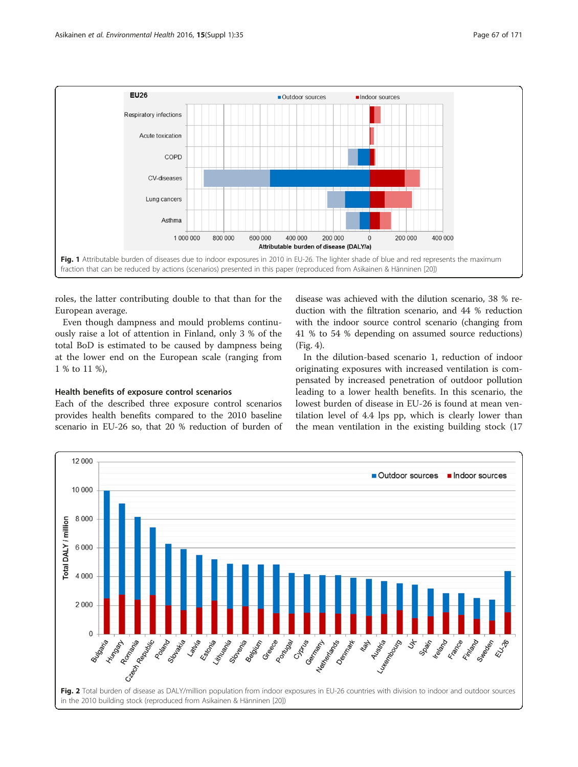<span id="page-6-0"></span>

roles, the latter contributing double to that than for the European average.

Even though dampness and mould problems continuously raise a lot of attention in Finland, only 3 % of the total BoD is estimated to be caused by dampness being at the lower end on the European scale (ranging from 1 % to 11 %),

# Health benefits of exposure control scenarios

Each of the described three exposure control scenarios provides health benefits compared to the 2010 baseline scenario in EU-26 so, that 20 % reduction of burden of

disease was achieved with the dilution scenario, 38 % reduction with the filtration scenario, and 44 % reduction with the indoor source control scenario (changing from 41 % to 54 % depending on assumed source reductions) (Fig. [4](#page-8-0)).

In the dilution-based scenario 1, reduction of indoor originating exposures with increased ventilation is compensated by increased penetration of outdoor pollution leading to a lower health benefits. In this scenario, the lowest burden of disease in EU-26 is found at mean ventilation level of 4.4 lps pp, which is clearly lower than the mean ventilation in the existing building stock (17

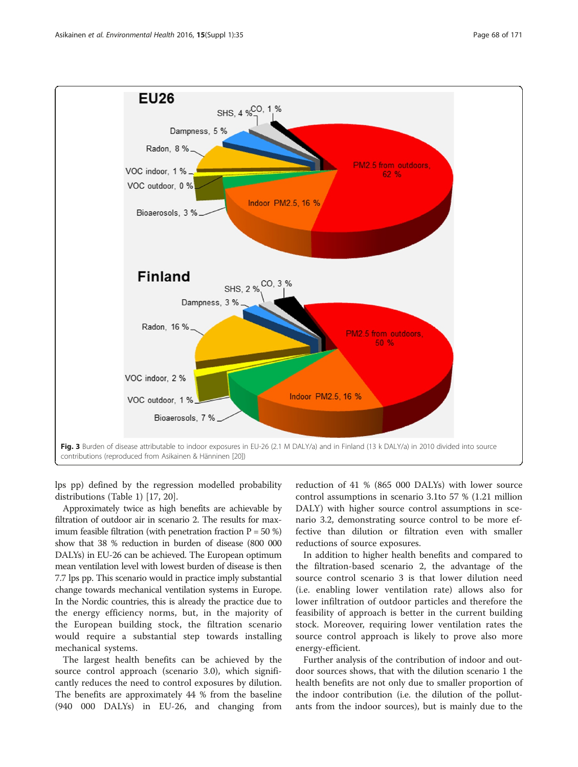<span id="page-7-0"></span>

lps pp) defined by the regression modelled probability distributions (Table [1](#page-2-0)) [[17](#page-11-0), [20](#page-11-0)].

Approximately twice as high benefits are achievable by filtration of outdoor air in scenario 2. The results for maximum feasible filtration (with penetration fraction  $P = 50\%$ ) show that 38 % reduction in burden of disease (800 000 DALYs) in EU-26 can be achieved. The European optimum mean ventilation level with lowest burden of disease is then 7.7 lps pp. This scenario would in practice imply substantial change towards mechanical ventilation systems in Europe. In the Nordic countries, this is already the practice due to the energy efficiency norms, but, in the majority of the European building stock, the filtration scenario would require a substantial step towards installing mechanical systems.

The largest health benefits can be achieved by the source control approach (scenario 3.0), which significantly reduces the need to control exposures by dilution. The benefits are approximately 44 % from the baseline (940 000 DALYs) in EU-26, and changing from

reduction of 41 % (865 000 DALYs) with lower source control assumptions in scenario 3.1to 57 % (1.21 million DALY) with higher source control assumptions in scenario 3.2, demonstrating source control to be more effective than dilution or filtration even with smaller reductions of source exposures.

In addition to higher health benefits and compared to the filtration-based scenario 2, the advantage of the source control scenario 3 is that lower dilution need (i.e. enabling lower ventilation rate) allows also for lower infiltration of outdoor particles and therefore the feasibility of approach is better in the current building stock. Moreover, requiring lower ventilation rates the source control approach is likely to prove also more energy-efficient.

Further analysis of the contribution of indoor and outdoor sources shows, that with the dilution scenario 1 the health benefits are not only due to smaller proportion of the indoor contribution (i.e. the dilution of the pollutants from the indoor sources), but is mainly due to the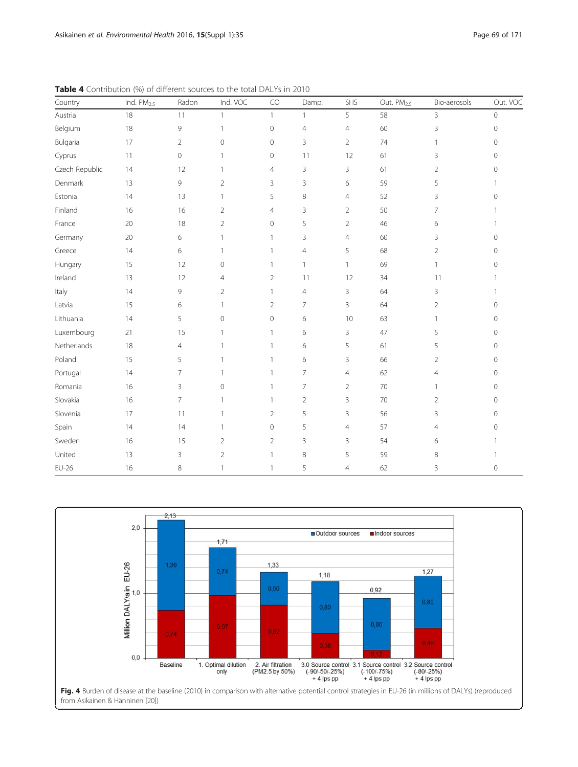| Country        | Ind. $PM2.5$ | Radon               | Ind. VOC       | $\mathsf{CO}$  | Damp.          | SHS            | Out. PM <sub>2.5</sub> | Bio-aerosols   | Out. VOC            |
|----------------|--------------|---------------------|----------------|----------------|----------------|----------------|------------------------|----------------|---------------------|
| Austria        | 18           | 11                  | $\mathbf{1}$   | $\mathbf{1}$   | 1              | 5              | 58                     | 3              | $\circ$             |
| Belgium        | 18           | 9                   | $\mathbf{1}$   | $\mathbf 0$    | 4              | $\overline{4}$ | 60                     | 3              | $\mathbb O$         |
| Bulgaria       | 17           | $\overline{2}$      | $\overline{0}$ | $\mathbf{0}$   | 3              | $\overline{2}$ | 74                     | 1              | $\mathbf 0$         |
| Cyprus         | 11           | $\mathsf{O}\xspace$ | 1              | $\mathbf 0$    | 11             | 12             | 61                     | 3              | $\mathbf 0$         |
| Czech Republic | 14           | 12                  | $\mathbf{1}$   | 4              | 3              | 3              | 61                     | 2              | 0                   |
| Denmark        | 13           | 9                   | $\overline{2}$ | 3              | 3              | 6              | 59                     | 5              |                     |
| Estonia        | 14           | 13                  | $\mathbf{1}$   | 5              | 8              | 4              | 52                     | 3              | 0                   |
| Finland        | 16           | 16                  | $\overline{2}$ | $\overline{4}$ | 3              | 2              | 50                     | 7              |                     |
| France         | 20           | 18                  | $\overline{2}$ | $\mathbf{0}$   | 5              | $\overline{2}$ | 46                     | 6              |                     |
| Germany        | 20           | 6                   | 1              | $\mathbf{1}$   | 3              | $\overline{4}$ | 60                     | 3              | $\mathbf{0}$        |
| Greece         | 14           | 6                   | 1              | $\mathbf{1}$   | 4              | 5              | 68                     | $\overline{2}$ | 0                   |
| Hungary        | 15           | 12                  | $\mathbf 0$    | $\mathbf{1}$   | $\mathbf{1}$   | $\mathbf{1}$   | 69                     | $\mathbf{1}$   | $\mathsf{O}\xspace$ |
| Ireland        | 13           | 12                  | $\overline{4}$ | $\overline{2}$ | 11             | 12             | 34                     | 11             |                     |
| Italy          | 14           | 9                   | $\overline{2}$ | $\mathbf{1}$   | $\overline{4}$ | 3              | 64                     | 3              |                     |
| Latvia         | 15           | 6                   | 1              | $\overline{2}$ | $\overline{7}$ | 3              | 64                     | 2              | $\mathbb O$         |
| Lithuania      | 14           | 5                   | $\mathbf{0}$   | $\mathbf 0$    | 6              | 10             | 63                     | 1              | $\mathbf 0$         |
| Luxembourg     | 21           | 15                  | 1              | 1              | 6              | 3              | 47                     | 5              | 0                   |
| Netherlands    | 18           | $\overline{4}$      | 1              | $\mathbf{1}$   | 6              | 5              | 61                     | 5              | $\mathbf 0$         |
| Poland         | 15           | 5                   | $\mathbf{1}$   | $\mathbf{1}$   | 6              | 3              | 66                     | $\overline{2}$ | 0                   |
| Portugal       | 14           | 7                   | $\mathbf{1}$   | 1              | 7              | 4              | 62                     | 4              | 0                   |
| Romania        | 16           | 3                   | $\mathbf 0$    | $\mathbf{1}$   | $\overline{7}$ | $\overline{2}$ | $70\,$                 | 1              | $\mathbf 0$         |
| Slovakia       | 16           | $\overline{7}$      | $\mathbf{1}$   | $\mathbf{1}$   | $\overline{2}$ | 3              | $70\,$                 | 2              | $\mathbf{0}$        |
| Slovenia       | 17           | 11                  | $\mathbf{1}$   | $\overline{2}$ | 5              | 3              | 56                     | 3              | $\mathbf 0$         |
| Spain          | 14           | 14                  | $\mathbf{1}$   | $\mathbf 0$    | 5              | $\overline{4}$ | 57                     | 4              | $\mathbf 0$         |
| Sweden         | 16           | 15                  | $\overline{2}$ | $\overline{2}$ | 3              | 3              | 54                     | 6              |                     |
| United         | 13           | 3                   | $\overline{2}$ | $\mathbf{1}$   | $\,8$          | 5              | 59                     | 8              |                     |
| $EU-26$        | 16           | 8                   | $\mathbf{1}$   | $\mathbf{1}$   | 5              | $\overline{4}$ | 62                     | 3              | $\mathbf 0$         |

<span id="page-8-0"></span>Table 4 Contribution (%) of different sources to the total DALYs in 2010

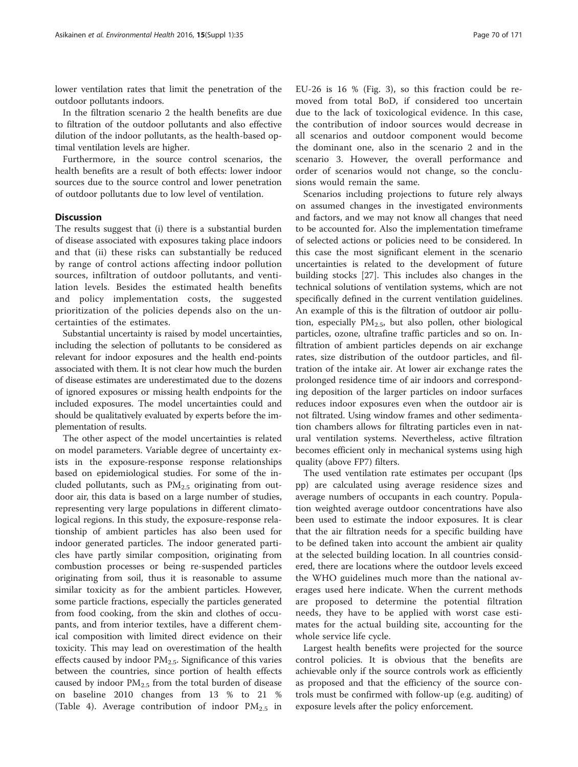lower ventilation rates that limit the penetration of the outdoor pollutants indoors.

In the filtration scenario 2 the health benefits are due to filtration of the outdoor pollutants and also effective dilution of the indoor pollutants, as the health-based optimal ventilation levels are higher.

Furthermore, in the source control scenarios, the health benefits are a result of both effects: lower indoor sources due to the source control and lower penetration of outdoor pollutants due to low level of ventilation.

# **Discussion**

The results suggest that (i) there is a substantial burden of disease associated with exposures taking place indoors and that (ii) these risks can substantially be reduced by range of control actions affecting indoor pollution sources, infiltration of outdoor pollutants, and ventilation levels. Besides the estimated health benefits and policy implementation costs, the suggested prioritization of the policies depends also on the uncertainties of the estimates.

Substantial uncertainty is raised by model uncertainties, including the selection of pollutants to be considered as relevant for indoor exposures and the health end-points associated with them. It is not clear how much the burden of disease estimates are underestimated due to the dozens of ignored exposures or missing health endpoints for the included exposures. The model uncertainties could and should be qualitatively evaluated by experts before the implementation of results.

The other aspect of the model uncertainties is related on model parameters. Variable degree of uncertainty exists in the exposure-response response relationships based on epidemiological studies. For some of the included pollutants, such as  $PM_{2.5}$  originating from outdoor air, this data is based on a large number of studies, representing very large populations in different climatological regions. In this study, the exposure-response relationship of ambient particles has also been used for indoor generated particles. The indoor generated particles have partly similar composition, originating from combustion processes or being re-suspended particles originating from soil, thus it is reasonable to assume similar toxicity as for the ambient particles. However, some particle fractions, especially the particles generated from food cooking, from the skin and clothes of occupants, and from interior textiles, have a different chemical composition with limited direct evidence on their toxicity. This may lead on overestimation of the health effects caused by indoor  $PM_{2.5}$ . Significance of this varies between the countries, since portion of health effects caused by indoor  $PM_{2.5}$  from the total burden of disease on baseline 2010 changes from 13 % to 21 % (Table [4\)](#page-8-0). Average contribution of indoor  $PM_{2.5}$  in EU-26 is 16 % (Fig. [3](#page-7-0)), so this fraction could be removed from total BoD, if considered too uncertain due to the lack of toxicological evidence. In this case, the contribution of indoor sources would decrease in all scenarios and outdoor component would become the dominant one, also in the scenario 2 and in the scenario 3. However, the overall performance and order of scenarios would not change, so the conclusions would remain the same.

Scenarios including projections to future rely always on assumed changes in the investigated environments and factors, and we may not know all changes that need to be accounted for. Also the implementation timeframe of selected actions or policies need to be considered. In this case the most significant element in the scenario uncertainties is related to the development of future building stocks [[27](#page-11-0)]. This includes also changes in the technical solutions of ventilation systems, which are not specifically defined in the current ventilation guidelines. An example of this is the filtration of outdoor air pollution, especially  $PM<sub>2.5</sub>$ , but also pollen, other biological particles, ozone, ultrafine traffic particles and so on. Infiltration of ambient particles depends on air exchange rates, size distribution of the outdoor particles, and filtration of the intake air. At lower air exchange rates the prolonged residence time of air indoors and corresponding deposition of the larger particles on indoor surfaces reduces indoor exposures even when the outdoor air is not filtrated. Using window frames and other sedimentation chambers allows for filtrating particles even in natural ventilation systems. Nevertheless, active filtration becomes efficient only in mechanical systems using high quality (above FP7) filters.

The used ventilation rate estimates per occupant (lps pp) are calculated using average residence sizes and average numbers of occupants in each country. Population weighted average outdoor concentrations have also been used to estimate the indoor exposures. It is clear that the air filtration needs for a specific building have to be defined taken into account the ambient air quality at the selected building location. In all countries considered, there are locations where the outdoor levels exceed the WHO guidelines much more than the national averages used here indicate. When the current methods are proposed to determine the potential filtration needs, they have to be applied with worst case estimates for the actual building site, accounting for the whole service life cycle.

Largest health benefits were projected for the source control policies. It is obvious that the benefits are achievable only if the source controls work as efficiently as proposed and that the efficiency of the source controls must be confirmed with follow-up (e.g. auditing) of exposure levels after the policy enforcement.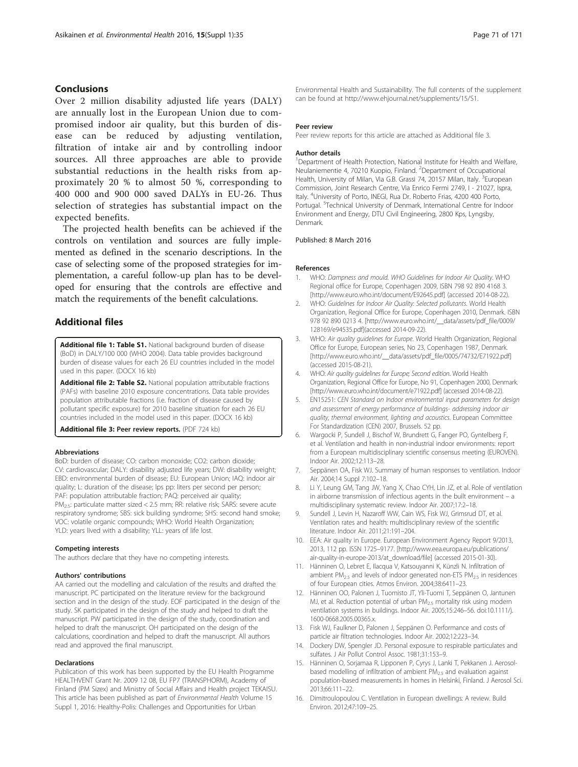# <span id="page-10-0"></span>**Conclusions**

Over 2 million disability adjusted life years (DALY) are annually lost in the European Union due to compromised indoor air quality, but this burden of disease can be reduced by adjusting ventilation, filtration of intake air and by controlling indoor sources. All three approaches are able to provide substantial reductions in the health risks from approximately 20 % to almost 50 %, corresponding to 400 000 and 900 000 saved DALYs in EU-26. Thus selection of strategies has substantial impact on the expected benefits.

The projected health benefits can be achieved if the controls on ventilation and sources are fully implemented as defined in the scenario descriptions. In the case of selecting some of the proposed strategies for implementation, a careful follow-up plan has to be developed for ensuring that the controls are effective and match the requirements of the benefit calculations.

# Additional files

[Additional file 1: Table S1.](dx.doi.org/10.1186/s12940-016-0101-8) National background burden of disease (BoD) in DALY/100 000 (WHO 2004). Data table provides background burden of disease values for each 26 EU countries included in the model used in this paper. (DOCX 16 kb)

[Additional file 2: Table S2.](dx.doi.org/10.1186/s12940-016-0101-8) National population attributable fractions (PAFs) with baseline 2010 exposure concentrations. Data table provides population attributable fractions (i.e. fraction of disease caused by pollutant specific exposure) for 2010 baseline situation for each 26 EU countries included in the model used in this paper. (DOCX 16 kb)

[Additional file 3:](dx.doi.org/10.1186/s12940-016-0101-8) Peer review reports. (PDF 724 kb)

#### Abbreviations

BoD: burden of disease; CO: carbon monoxide; CO2: carbon dioxide; CV: cardiovascular; DALY: disability adjusted life years; DW: disability weight; EBD: environmental burden of disease; EU: European Union; IAQ: indoor air quality; L: duration of the disease; lps pp: liters per second per person; PAF: population attributable fraction; PAQ: perceived air quality; PM2.5: particulate matter sized < 2.5 mm; RR: relative risk; SARS: severe acute respiratory syndrome; SBS: sick building syndrome; SHS: second hand smoke; VOC: volatile organic compounds; WHO: World Health Organization; YLD: years lived with a disability; YLL: years of life lost.

#### Competing interests

The authors declare that they have no competing interests.

#### Authors' contributions

AA carried out the modelling and calculation of the results and drafted the manuscript. PC participated on the literature review for the background section and in the design of the study. EOF participated in the design of the study. SK participated in the design of the study and helped to draft the manuscript. PW participated in the design of the study, coordination and helped to draft the manuscript. OH participated on the design of the calculations, coordination and helped to draft the manuscript. All authors read and approved the final manuscript.

#### Declarations

Publication of this work has been supported by the EU Health Programme HEALTHVENT Grant Nr. 2009 12 08, EU FP7 (TRANSPHORM), Academy of Finland (PM Sizex) and Ministry of Social Affairs and Health project TEKAISU. This article has been published as part of Environmental Health Volume 15 Suppl 1, 2016: Healthy-Polis: Challenges and Opportunities for Urban

Environmental Health and Sustainability. The full contents of the supplement can be found at [http://www.ehjournal.net/supplements/15/S1.](http://www.ehjournal.net/supplements/15/S1)

#### Peer review

Peer review reports for this article are attached as Additional file 3.

#### Author details

<sup>1</sup>Department of Health Protection, National Institute for Health and Welfare, Neulaniementie 4, 70210 Kuopio, Finland. <sup>2</sup>Department of Occupational Health, University of Milan, Via G.B. Grassi 74, 20157 Milan, Italy. <sup>3</sup>European Commission, Joint Research Centre, Via Enrico Fermi 2749, I - 21027, Ispra, Italy. <sup>4</sup>University of Porto, INEGI, Rua Dr. Roberto Frias, 4200 400 Porto Portugal. <sup>5</sup> Technical University of Denmark, International Centre for Indoor Environment and Energy, DTU Civil Engineering, 2800 Kps, Lyngsby, Denmark.

#### Published: 8 March 2016

#### References

- 1. WHO: Dampness and mould. WHO Guidelines for Indoor Air Quality. WHO Regional office for Europe, Copenhagen 2009, ISBN 798 92 890 4168 3. [<http://www.euro.who.int/document/E92645.pdf>] (accessed 2014-08-22).
- 2. WHO: Guidelines for Indoor Air Quality: Selected pollutants. World Health Organization, Regional Office for Europe, Copenhagen 2010, Denmark. ISBN 978 92 890 0213 4. [[http://www.euro.who.int/\\_\\_data/assets/pdf\\_file/0009/](http://www.euro.who.int/__data/assets/pdf_file/0009/128169/e94535.pdf%5D(accessed) [128169/e94535.pdf\]\(accessed](http://www.euro.who.int/__data/assets/pdf_file/0009/128169/e94535.pdf%5D(accessed) 2014-09-22).
- 3. WHO: Air quality guidelines for Europe. World Health Organization, Regional Office for Europe, European series, No 23, Copenhagen 1987, Denmark. [http://www.euro.who.int/ data/assets/pdf\_file/0005/74732/E71922.pdf] (accessed 2015-08-21).
- 4. WHO: Air quality guidelines for Europe; Second edition. World Health Organization, Regional Office for Europe, No 91, Copenhagen 2000, Denmark. [<http://www.euro.who.int/document/e71922.pdf>] (accessed 2014-08-22).
- 5. EN15251: CEN Standard on Indoor environmental input parameters for design and assessment of energy performance of buildings- addressing indoor air quality, thermal environment, lighting and acoustics. European Committee For Standardization (CEN) 2007, Brussels. 52 pp.
- 6. Wargocki P, Sundell J, Bischof W, Brundrett G, Fanger PO, Gyntelberg F, et al. Ventilation and health in non-industrial indoor environments: report from a European multidisciplinary scientific consensus meeting (EUROVEN). Indoor Air. 2002;12:113–28.
- 7. Seppänen OA, Fisk WJ. Summary of human responses to ventilation. Indoor Air. 2004;14 Suppl 7:102–18.
- 8. Li Y, Leung GM, Tang JW, Yang X, Chao CYH, Lin JZ, et al. Role of ventilation in airborne transmission of infectious agents in the built environment – a multidisciplinary systematic review. Indoor Air. 2007;17:2–18.
- Sundell J, Levin H, Nazaroff WW, Cain WS, Fisk WJ, Grimsrud DT, et al. Ventilation rates and health: multidisciplinary review of the scientific literature. Indoor Air. 2011;21:191–204.
- 10. EEA: Air quality in Europe. European Environment Agency Report 9/2013, 2013, 112 pp. ISSN 1725–9177. [[http://www.eea.europa.eu/publications/](http://www.eea.europa.eu/publications/air-quality-in-europe-2013/at_download/file) [air-quality-in-europe-2013/at\\_download/file\]](http://www.eea.europa.eu/publications/air-quality-in-europe-2013/at_download/file) (accessed 2015-01-30).
- 11. Hänninen O, Lebret E, Ilacqua V, Katsouyanni K, Künzli N. Infiltration of ambient  $PM_{2.5}$  and levels of indoor generated non-ETS  $PM_{2.5}$  in residences of four European cities. Atmos Environ. 2004;38:6411–23.
- 12. Hänninen OO, Palonen J, Tuomisto JT, Yli-Tuomi T, Seppänen O, Jantunen MJ, et al. Reduction potential of urban PM<sub>2.5</sub> mortality risk using modern ventilation systems in buildings. Indoor Air. 2005;15:246–56. doi[:10.1111/j.](http://dx.doi.org/10.1111/j.1600-0668.2005.00365.x) [1600-0668.2005.00365.x](http://dx.doi.org/10.1111/j.1600-0668.2005.00365.x).
- 13. Fisk WJ, Faulkner D, Palonen J, Seppänen O. Performance and costs of particle air filtration technologies. Indoor Air. 2002;12:223–34.
- 14. Dockery DW, Spengler JD. Personal exposure to respirable particulates and sulfates. J Air Pollut Control Assoc. 1981;31:153–9.
- 15. Hänninen O, Sorjamaa R, Lipponen P, Cyrys J, Lanki T, Pekkanen J. Aerosolbased modelling of infiltration of ambient PM<sub>2.5</sub> and evaluation against population-based measurements in homes in Helsinki, Finland. J Aerosol Sci. 2013;66:111–22.
- 16. Dimitroulopoulou C. Ventilation in European dwellings: A review. Build Environ. 2012;47:109–25.